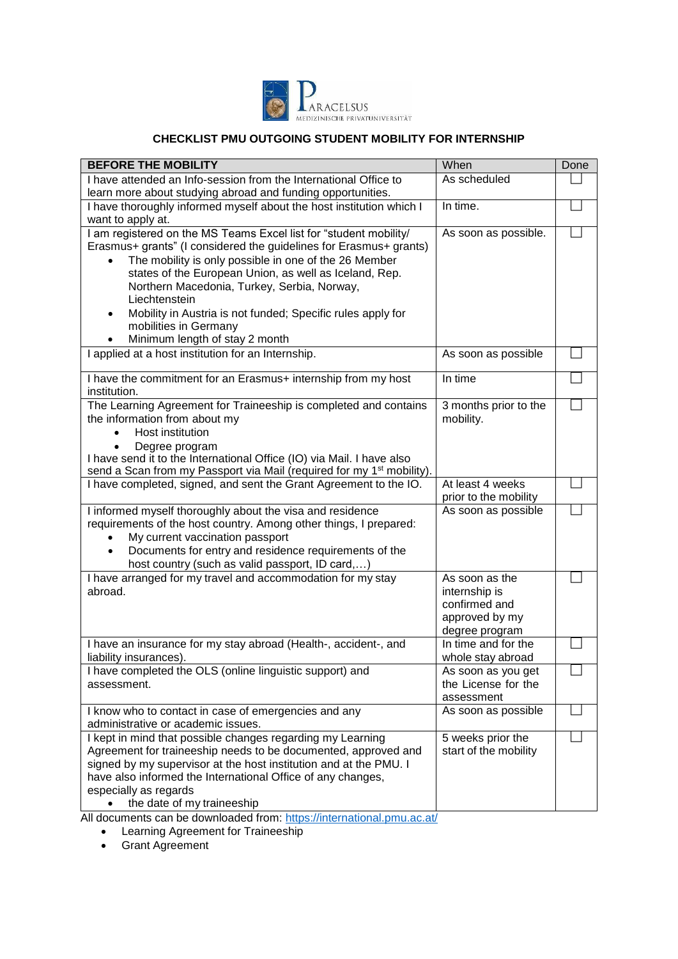

## **CHECKLIST PMU OUTGOING STUDENT MOBILITY FOR INTERNSHIP**

| <b>BEFORE THE MOBILITY</b>                                                                                                                                                                                                                                                                                                                                                                                                                           | When                                                                                 | Done |
|------------------------------------------------------------------------------------------------------------------------------------------------------------------------------------------------------------------------------------------------------------------------------------------------------------------------------------------------------------------------------------------------------------------------------------------------------|--------------------------------------------------------------------------------------|------|
| I have attended an Info-session from the International Office to                                                                                                                                                                                                                                                                                                                                                                                     | As scheduled                                                                         |      |
| learn more about studying abroad and funding opportunities.                                                                                                                                                                                                                                                                                                                                                                                          |                                                                                      |      |
| I have thoroughly informed myself about the host institution which I                                                                                                                                                                                                                                                                                                                                                                                 | In time.                                                                             |      |
| want to apply at.                                                                                                                                                                                                                                                                                                                                                                                                                                    |                                                                                      |      |
| I am registered on the MS Teams Excel list for "student mobility/<br>Erasmus+ grants" (I considered the guidelines for Erasmus+ grants)<br>The mobility is only possible in one of the 26 Member<br>states of the European Union, as well as Iceland, Rep.<br>Northern Macedonia, Turkey, Serbia, Norway,<br>Liechtenstein<br>Mobility in Austria is not funded; Specific rules apply for<br>mobilities in Germany<br>Minimum length of stay 2 month | As soon as possible.                                                                 |      |
| I applied at a host institution for an Internship.                                                                                                                                                                                                                                                                                                                                                                                                   | As soon as possible                                                                  |      |
| I have the commitment for an Erasmus+ internship from my host<br>institution.                                                                                                                                                                                                                                                                                                                                                                        | In time                                                                              |      |
| The Learning Agreement for Traineeship is completed and contains<br>the information from about my<br>Host institution<br>Degree program<br>I have send it to the International Office (IO) via Mail. I have also<br>send a Scan from my Passport via Mail (required for my 1 <sup>st</sup> mobility).                                                                                                                                                | 3 months prior to the<br>mobility.                                                   |      |
| I have completed, signed, and sent the Grant Agreement to the IO.                                                                                                                                                                                                                                                                                                                                                                                    | At least 4 weeks<br>prior to the mobility                                            |      |
| I informed myself thoroughly about the visa and residence<br>requirements of the host country. Among other things, I prepared:<br>My current vaccination passport<br>Documents for entry and residence requirements of the<br>٠<br>host country (such as valid passport, ID card,)                                                                                                                                                                   | As soon as possible                                                                  |      |
| I have arranged for my travel and accommodation for my stay<br>abroad.                                                                                                                                                                                                                                                                                                                                                                               | As soon as the<br>internship is<br>confirmed and<br>approved by my<br>degree program |      |
| I have an insurance for my stay abroad (Health-, accident-, and<br>liability insurances).                                                                                                                                                                                                                                                                                                                                                            | In time and for the<br>whole stay abroad                                             |      |
| I have completed the OLS (online linguistic support) and<br>assessment.                                                                                                                                                                                                                                                                                                                                                                              | As soon as you get<br>the License for the<br>assessment                              |      |
| I know who to contact in case of emergencies and any<br>administrative or academic issues.                                                                                                                                                                                                                                                                                                                                                           | As soon as possible                                                                  |      |
| I kept in mind that possible changes regarding my Learning<br>Agreement for traineeship needs to be documented, approved and<br>signed by my supervisor at the host institution and at the PMU. I<br>have also informed the International Office of any changes,<br>especially as regards<br>the date of my traineeship                                                                                                                              | 5 weeks prior the<br>start of the mobility                                           |      |

All documents can be downloaded from: <https://international.pmu.ac.at/>

Learning Agreement for Traineeship

Grant Agreement